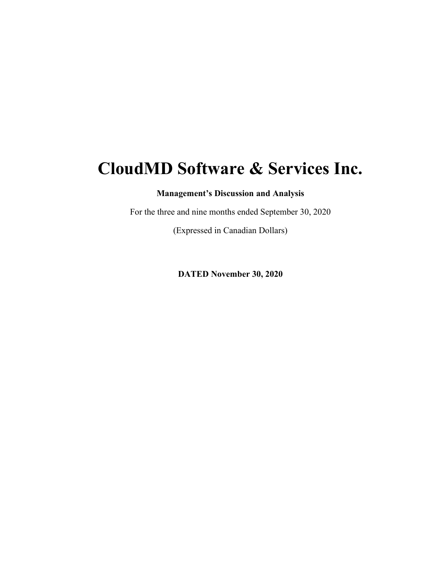# **CloudMD Software & Services Inc.**

**Management's Discussion and Analysis** 

For the three and nine months ended September 30, 2020

(Expressed in Canadian Dollars)

**DATED November 30, 2020**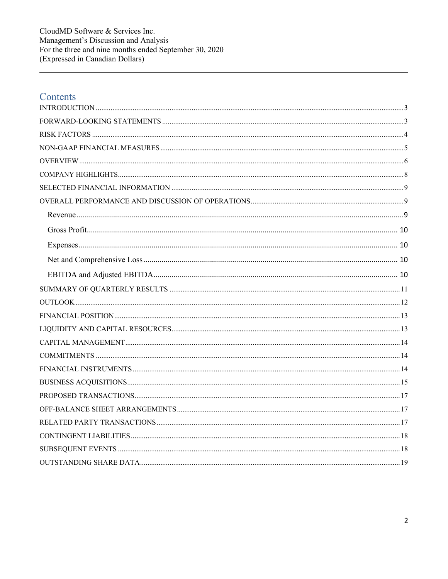# Contents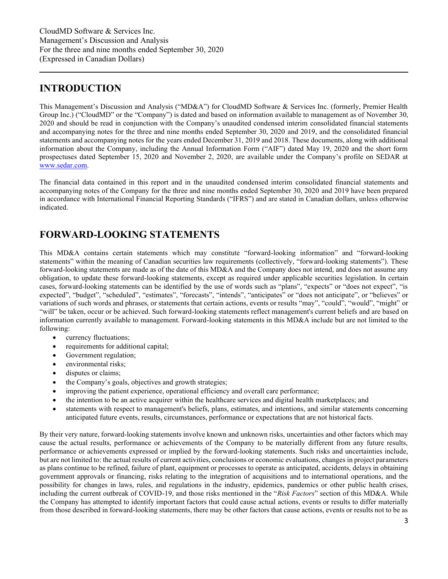# <span id="page-2-0"></span>**INTRODUCTION**

This Management's Discussion and Analysis ("MD&A") for CloudMD Software & Services Inc. (formerly, Premier Health Group Inc.) ("CloudMD" or the "Company") is dated and based on information available to management as of November 30, 2020 and should be read in conjunction with the Company's unaudited condensed interim consolidated financial statements and accompanying notes for the three and nine months ended September 30, 2020 and 2019, and the consolidated financial statements and accompanying notes for the years ended December 31, 2019 and 2018. These documents, along with additional information about the Company, including the Annual Information Form ("AIF") dated May 19, 2020 and the short form prospectuses dated September 15, 2020 and November 2, 2020, are available under the Company's profile on SEDAR at [www.sedar.com.](http://www.sedar.com/)

The financial data contained in this report and in the unaudited condensed interim consolidated financial statements and accompanying notes of the Company for the three and nine months ended September 30, 2020 and 2019 have been prepared in accordance with International Financial Reporting Standards ("IFRS") and are stated in Canadian dollars, unless otherwise indicated.

# <span id="page-2-1"></span>**FORWARD-LOOKING STATEMENTS**

This MD&A contains certain statements which may constitute "forward-looking information" and "forward-looking statements" within the meaning of Canadian securities law requirements (collectively, "forward-looking statements"). These forward-looking statements are made as of the date of this MD&A and the Company does not intend, and does not assume any obligation, to update these forward-looking statements, except as required under applicable securities legislation. In certain cases, forward-looking statements can be identified by the use of words such as "plans", "expects" or "does not expect", "is expected", "budget", "scheduled", "estimates", "forecasts", "intends", "anticipates" or "does not anticipate", or "believes" or variations of such words and phrases, or statements that certain actions, events or results "may", "could", "would", "might" or "will" be taken, occur or be achieved. Such forward-looking statements reflect management's current beliefs and are based on information currently available to management. Forward-looking statements in this MD&A include but are not limited to the following:

- currency fluctuations;
- requirements for additional capital;
- Government regulation;
- environmental risks;
- disputes or claims;
- the Company's goals, objectives and growth strategies;
- improving the patient experience, operational efficiency and overall care performance;
- the intention to be an active acquirer within the healthcare services and digital health marketplaces; and
- statements with respect to management's beliefs, plans, estimates, and intentions, and similar statements concerning anticipated future events, results, circumstances, performance or expectations that are not historical facts.

By their very nature, forward-looking statements involve known and unknown risks, uncertainties and other factors which may cause the actual results, performance or achievements of the Company to be materially different from any future results, performance or achievements expressed or implied by the forward-looking statements. Such risks and uncertainties include, but are not limited to: the actual results of current activities, conclusions or economic evaluations, changes in project parameters as plans continue to be refined, failure of plant, equipment or processes to operate as anticipated, accidents, delays in obtaining government approvals or financing, risks relating to the integration of acquisitions and to international operations, and the possibility for changes in laws, rules, and regulations in the industry, epidemics, pandemics or other public health crises, including the current outbreak of COVID-19, and those risks mentioned in the "*Risk Factors*" section of this MD&A. While the Company has attempted to identify important factors that could cause actual actions, events or results to differ materially from those described in forward-looking statements, there may be other factors that cause actions, events or results not to be as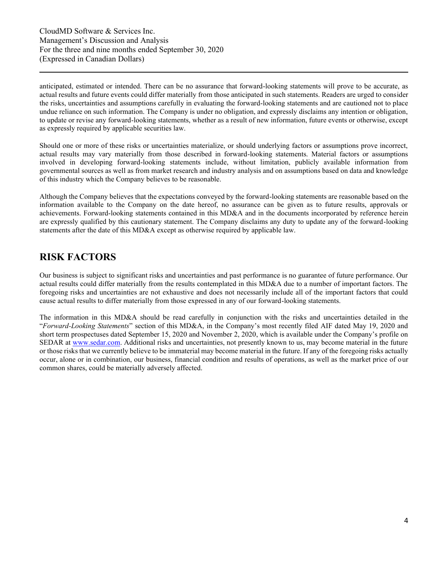anticipated, estimated or intended. There can be no assurance that forward-looking statements will prove to be accurate, as actual results and future events could differ materially from those anticipated in such statements. Readers are urged to consider the risks, uncertainties and assumptions carefully in evaluating the forward-looking statements and are cautioned not to place undue reliance on such information. The Company is under no obligation, and expressly disclaims any intention or obligation, to update or revise any forward-looking statements, whether as a result of new information, future events or otherwise, except as expressly required by applicable securities law.

Should one or more of these risks or uncertainties materialize, or should underlying factors or assumptions prove incorrect, actual results may vary materially from those described in forward-looking statements. Material factors or assumptions involved in developing forward-looking statements include, without limitation, publicly available information from governmental sources as well as from market research and industry analysis and on assumptions based on data and knowledge of this industry which the Company believes to be reasonable.

Although the Company believes that the expectations conveyed by the forward-looking statements are reasonable based on the information available to the Company on the date hereof, no assurance can be given as to future results, approvals or achievements. Forward-looking statements contained in this MD&A and in the documents incorporated by reference herein are expressly qualified by this cautionary statement. The Company disclaims any duty to update any of the forward-looking statements after the date of this MD&A except as otherwise required by applicable law.

# <span id="page-3-0"></span>**RISK FACTORS**

Our business is subject to significant risks and uncertainties and past performance is no guarantee of future performance. Our actual results could differ materially from the results contemplated in this MD&A due to a number of important factors. The foregoing risks and uncertainties are not exhaustive and does not necessarily include all of the important factors that could cause actual results to differ materially from those expressed in any of our forward-looking statements.

The information in this MD&A should be read carefully in conjunction with the risks and uncertainties detailed in the "*Forward-Looking Statements*" section of this MD&A, in the Company's most recently filed AIF dated May 19, 2020 and short term prospectuses dated September 15, 2020 and November 2, 2020, which is available under the Company's profile on SEDAR at [www.sedar.com.](http://www.sedar.com/) Additional risks and uncertainties, not presently known to us, may become material in the future or those risks that we currently believe to be immaterial may become material in the future. If any of the foregoing risks actually occur, alone or in combination, our business, financial condition and results of operations, as well as the market price of our common shares, could be materially adversely affected.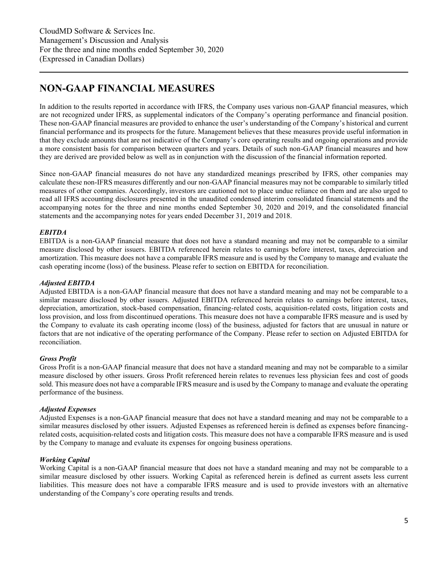# <span id="page-4-0"></span>**NON-GAAP FINANCIAL MEASURES**

In addition to the results reported in accordance with IFRS, the Company uses various non-GAAP financial measures, which are not recognized under IFRS, as supplemental indicators of the Company's operating performance and financial position. These non-GAAP financial measures are provided to enhance the user's understanding of the Company's historical and current financial performance and its prospects for the future. Management believes that these measures provide useful information in that they exclude amounts that are not indicative of the Company's core operating results and ongoing operations and provide a more consistent basis for comparison between quarters and years. Details of such non-GAAP financial measures and how they are derived are provided below as well as in conjunction with the discussion of the financial information reported.

Since non-GAAP financial measures do not have any standardized meanings prescribed by IFRS, other companies may calculate these non-IFRS measures differently and our non-GAAP financial measures may not be comparable to similarly titled measures of other companies. Accordingly, investors are cautioned not to place undue reliance on them and are also urged to read all IFRS accounting disclosures presented in the unaudited condensed interim consolidated financial statements and the accompanying notes for the three and nine months ended September 30, 2020 and 2019, and the consolidated financial statements and the accompanying notes for years ended December 31, 2019 and 2018.

### *EBITDA*

EBITDA is a non-GAAP financial measure that does not have a standard meaning and may not be comparable to a similar measure disclosed by other issuers. EBITDA referenced herein relates to earnings before interest, taxes, depreciation and amortization. This measure does not have a comparable IFRS measure and is used by the Company to manage and evaluate the cash operating income (loss) of the business. Please refer to section on EBITDA for reconciliation.

### *Adjusted EBITDA*

Adjusted EBITDA is a non-GAAP financial measure that does not have a standard meaning and may not be comparable to a similar measure disclosed by other issuers. Adjusted EBITDA referenced herein relates to earnings before interest, taxes, depreciation, amortization, stock-based compensation, financing-related costs, acquisition-related costs, litigation costs and loss provision, and loss from discontinued operations. This measure does not have a comparable IFRS measure and is used by the Company to evaluate its cash operating income (loss) of the business, adjusted for factors that are unusual in nature or factors that are not indicative of the operating performance of the Company. Please refer to section on Adjusted EBITDA for reconciliation.

### *Gross Profit*

Gross Profit is a non-GAAP financial measure that does not have a standard meaning and may not be comparable to a similar measure disclosed by other issuers. Gross Profit referenced herein relates to revenues less physician fees and cost of goods sold. This measure does not have a comparable IFRS measure and is used by the Company to manage and evaluate the operating performance of the business.

### *Adjusted Expenses*

Adjusted Expenses is a non-GAAP financial measure that does not have a standard meaning and may not be comparable to a similar measures disclosed by other issuers. Adjusted Expenses as referenced herein is defined as expenses before financingrelated costs, acquisition-related costs and litigation costs. This measure does not have a comparable IFRS measure and is used by the Company to manage and evaluate its expenses for ongoing business operations.

### *Working Capital*

Working Capital is a non-GAAP financial measure that does not have a standard meaning and may not be comparable to a similar measure disclosed by other issuers. Working Capital as referenced herein is defined as current assets less current liabilities. This measure does not have a comparable IFRS measure and is used to provide investors with an alternative understanding of the Company's core operating results and trends.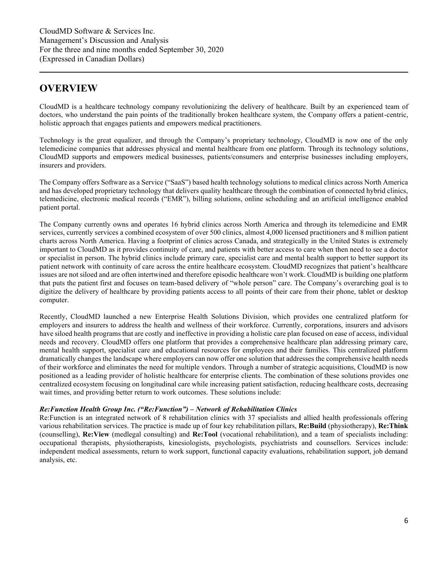# <span id="page-5-0"></span>**OVERVIEW**

CloudMD is a healthcare technology company revolutionizing the delivery of healthcare. Built by an experienced team of doctors, who understand the pain points of the traditionally broken healthcare system, the Company offers a patient-centric, holistic approach that engages patients and empowers medical practitioners.

Technology is the great equalizer, and through the Company's proprietary technology, CloudMD is now one of the only telemedicine companies that addresses physical and mental healthcare from one platform. Through its technology solutions, CloudMD supports and empowers medical businesses, patients/consumers and enterprise businesses including employers, insurers and providers.

The Company offers Software as a Service ("SaaS") based health technology solutions to medical clinics across North America and has developed proprietary technology that delivers quality healthcare through the combination of connected hybrid clinics, telemedicine, electronic medical records ("EMR"), billing solutions, online scheduling and an artificial intelligence enabled patient portal.

The Company currently owns and operates 16 hybrid clinics across North America and through its telemedicine and EMR services, currently services a combined ecosystem of over 500 clinics, almost 4,000 licensed practitioners and 8 million patient charts across North America. Having a footprint of clinics across Canada, and strategically in the United States is extremely important to CloudMD as it provides continuity of care, and patients with better access to care when then need to see a doctor or specialist in person. The hybrid clinics include primary care, specialist care and mental health support to better support its patient network with continuity of care across the entire healthcare ecosystem. CloudMD recognizes that patient's healthcare issues are not siloed and are often intertwined and therefore episodic healthcare won't work. CloudMD is building one platform that puts the patient first and focuses on team-based delivery of "whole person" care. The Company's overarching goal is to digitize the delivery of healthcare by providing patients access to all points of their care from their phone, tablet or desktop computer.

Recently, CloudMD launched a new Enterprise Health Solutions Division, which provides one centralized platform for employers and insurers to address the health and wellness of their workforce. Currently, corporations, insurers and advisors have siloed health programs that are costly and ineffective in providing a holistic care plan focused on ease of access, individual needs and recovery. CloudMD offers one platform that provides a comprehensive healthcare plan addressing primary care, mental health support, specialist care and educational resources for employees and their families. This centralized platform dramatically changes the landscape where employers can now offer one solution that addresses the comprehensive health needs of their workforce and eliminates the need for multiple vendors. Through a number of strategic acquisitions, CloudMD is now positioned as a leading provider of holistic healthcare for enterprise clients. The combination of these solutions provides one centralized ecosystem focusing on longitudinal care while increasing patient satisfaction, reducing healthcare costs, decreasing wait times, and providing better return to work outcomes. These solutions include:

### *Re:Function Health Group Inc. ("Re:Function") – Network of Rehabilitation Clinics*

Re:Function is an integrated network of 8 rehabilitation clinics with 37 specialists and allied health professionals offering various rehabilitation services. The practice is made up of four key rehabilitation pillars, **Re:Build** (physiotherapy), **Re:Think** (counselling), **Re:View** (medlegal consulting) and **Re:Tool** (vocational rehabilitation), and a team of specialists including: occupational therapists, physiotherapists, kinesiologists, psychologists, psychiatrists and counsellors. Services include: independent medical assessments, return to work support, functional capacity evaluations, rehabilitation support, job demand analysis, etc.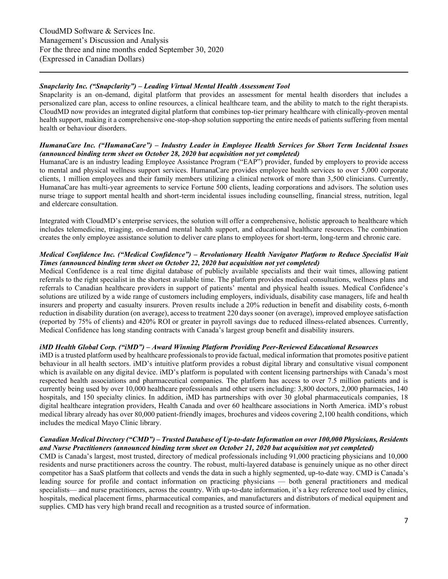### *Snapclarity Inc. ("Snapclarity") – Leading Virtual Mental Health Assessment Tool*

Snapclarity is an on-demand, digital platform that provides an assessment for mental health disorders that includes a personalized care plan, access to online resources, a clinical healthcare team, and the ability to match to the right therapists. CloudMD now provides an integrated digital platform that combines top-tier primary healthcare with clinically-proven mental health support, making it a comprehensive one-stop-shop solution supporting the entire needs of patients suffering from mental health or behaviour disorders.

### *HumanaCare Inc. ("HumanaCare") – Industry Leader in Employee Health Services for Short Term Incidental Issues (announced binding term sheet on October 28, 2020 but acquisition not yet completed)*

HumanaCare is an industry leading Employee Assistance Program ("EAP") provider, funded by employers to provide access to mental and physical wellness support services. HumanaCare provides employee health services to over 5,000 corporate clients, 1 million employees and their family members utilizing a clinical network of more than 3,500 clinicians. Currently, HumanaCare has multi-year agreements to service Fortune 500 clients, leading corporations and advisors. The solution uses nurse triage to support mental health and short-term incidental issues including counselling, financial stress, nutrition, legal and eldercare consultation.

Integrated with CloudMD's enterprise services, the solution will offer a comprehensive, holistic approach to healthcare which includes telemedicine, triaging, on-demand mental health support, and educational healthcare resources. The combination creates the only employee assistance solution to deliver care plans to employees for short-term, long-term and chronic care.

#### *Medical Confidence Inc. ("Medical Confidence") – Revolutionary Health Navigator Platform to Reduce Specialist Wait Times (announced binding term sheet on October 22, 2020 but acquisition not yet completed)*

Medical Confidence is a real time digital database of publicly available specialists and their wait times, allowing patient referrals to the right specialist in the shortest available time. The platform provides medical consultations, wellness plans and referrals to Canadian healthcare providers in support of patients' mental and physical health issues. Medical Confidence's solutions are utilized by a wide range of customers including employers, individuals, disability case managers, life and health insurers and property and casualty insurers. Proven results include a 20% reduction in benefit and disability costs, 6-month reduction in disability duration (on average), access to treatment 220 days sooner (on average), improved employee satisfaction (reported by 75% of clients) and 420% ROI or greater in payroll savings due to reduced illness-related absences. Currently, Medical Confidence has long standing contracts with Canada's largest group benefit and disability insurers.

### *iMD Health Global Corp. ("iMD") – Award Winning Platform Providing Peer-Reviewed Educational Resources*

iMD is a trusted platform used by healthcare professionals to provide factual, medical information that promotes positive patient behaviour in all health sectors. iMD's intuitive platform provides a robust digital library and consultative visual component which is available on any digital device. iMD's platform is populated with content licensing partnerships with Canada's most respected health associations and pharmaceutical companies. The platform has access to over 7.5 million patients and is currently being used by over 10,000 healthcare professionals and other users including: 3,800 doctors, 2,000 pharmacies, 140 hospitals, and 150 specialty clinics. In addition, iMD has partnerships with over 30 global pharmaceuticals companies, 18 digital healthcare integration providers, Health Canada and over 60 healthcare associations in North America. iMD's robust medical library already has over 80,000 patient-friendly images, brochures and videos covering 2,100 health conditions, which includes the medical Mayo Clinic library.

#### *Canadian Medical Directory ("CMD") – Trusted Database of Up-to-date Information on over 100,000 Physicians, Residents and Nurse Practitioners (announced binding term sheet on October 21, 2020 but acquisition not yet completed)*

CMD is Canada's largest, most trusted, directory of medical professionals including 91,000 practicing physicians and 10,000 residents and nurse practitioners across the country. The robust, multi-layered database is genuinely unique as no other direct competitor has a SaaS platform that collects and vends the data in such a highly segmented, up-to-date way. CMD is Canada's leading source for profile and contact information on practicing physicians — both general practitioners and medical specialists— and nurse practitioners, across the country. With up-to-date information, it's a key reference tool used by clinics, hospitals, medical placement firms, pharmaceutical companies, and manufacturers and distributors of medical equipment and supplies. CMD has very high brand recall and recognition as a trusted source of information.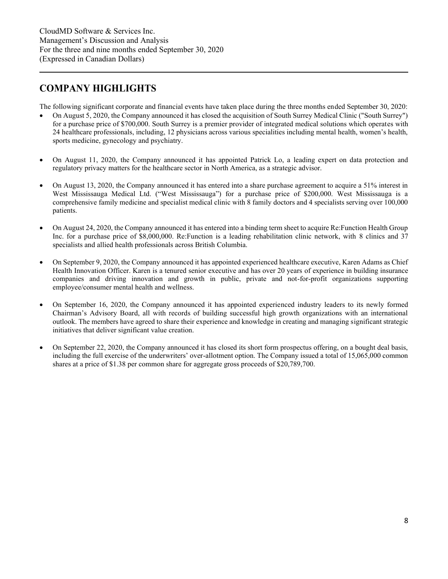# <span id="page-7-0"></span>**COMPANY HIGHLIGHTS**

The following significant corporate and financial events have taken place during the three months ended September 30, 2020:

- On August 5, 2020, the Company announced it has closed the acquisition of South Surrey Medical Clinic ("South Surrey") for a purchase price of \$700,000. South Surrey is a premier provider of integrated medical solutions which operates with 24 healthcare professionals, including, 12 physicians across various specialities including mental health, women's health, sports medicine, gynecology and psychiatry.
- On August 11, 2020, the Company announced it has appointed Patrick Lo, a leading expert on data protection and regulatory privacy matters for the healthcare sector in North America, as a strategic advisor.
- On August 13, 2020, the Company announced it has entered into a share purchase agreement to acquire a 51% interest in West Mississauga Medical Ltd. ("West Mississauga") for a purchase price of \$200,000. West Mississauga is a comprehensive family medicine and specialist medical clinic with 8 family doctors and 4 specialists serving over 100,000 patients.
- On August 24, 2020, the Company announced it has entered into a binding term sheet to acquire Re: Function Health Group Inc. for a purchase price of \$8,000,000. Re:Function is a leading rehabilitation clinic network, with 8 clinics and 37 specialists and allied health professionals across British Columbia.
- On September 9, 2020, the Company announced it has appointed experienced healthcare executive, Karen Adams as Chief Health Innovation Officer. Karen is a tenured senior executive and has over 20 years of experience in building insurance companies and driving innovation and growth in public, private and not-for-profit organizations supporting employee/consumer mental health and wellness.
- On September 16, 2020, the Company announced it has appointed experienced industry leaders to its newly formed Chairman's Advisory Board, all with records of building successful high growth organizations with an international outlook. The members have agreed to share their experience and knowledge in creating and managing significant strategic initiatives that deliver significant value creation.
- On September 22, 2020, the Company announced it has closed its short form prospectus offering, on a bought deal basis, including the full exercise of the underwriters' over-allotment option. The Company issued a total of 15,065,000 common shares at a price of \$1.38 per common share for aggregate gross proceeds of \$20,789,700.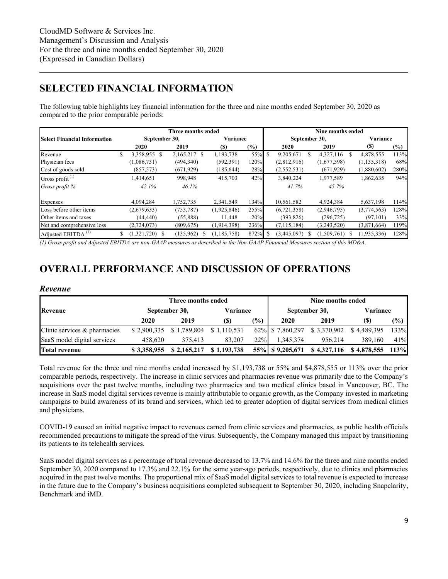# <span id="page-8-0"></span>**SELECTED FINANCIAL INFORMATION**

The following table highlights key financial information for the three and nine months ended September 30, 2020 as compared to the prior comparable periods:

|                                     |    |                   | Three months ended |               |               |               |                | Nine months ended |          |               |        |
|-------------------------------------|----|-------------------|--------------------|---------------|---------------|---------------|----------------|-------------------|----------|---------------|--------|
| <b>Select Financial Information</b> |    | September 30,     |                    | Variance      |               |               | September 30,  |                   |          | Variance      |        |
|                                     |    | 2020              | 2019               | (S)           | $\frac{6}{2}$ |               | 2020           | 2019              |          | (S)           | $(\%)$ |
| Revenue                             | S  | 3,358,955 \$      | 2,165,217 \$       | 1,193,738     | 55%           | <sup>\$</sup> | 9.205.671<br>S | 4,327,116         | <b>S</b> | 4,878,555     | 113%   |
| Physician fees                      |    | (1,086,731)       | (494, 340)         | (592, 391)    | 120%          |               | (2,812,916)    | (1,677,598)       |          | (1, 135, 318) | 68%    |
| Cost of goods sold                  |    | (857, 573)        | (671, 929)         | (185, 644)    | 28%           |               | (2,552,531)    | (671, 929)        |          | (1,880,602)   | 280%   |
| Gross profit $(1)$                  |    | 1,414,651         | 998,948            | 415,703       | 42%           |               | 3,840,224      | 1,977,589         |          | 1,862,635     | 94%    |
| Gross profit %                      |    | 42.1%             | 46.1%              |               |               |               | 41.7%          | 45.7%             |          |               |        |
| Expenses                            |    | 4.094.284         | 1,752,735          | 2,341,549     | 134%          |               | 10,561,582     | 4,924,384         |          | 5,637,198     | 114%   |
| Loss before other items             |    | (2,679,633)       | (753, 787)         | (1,925,846)   | 255%          |               | (6,721,358)    | (2,946,795)       |          | (3,774,563)   | 128%   |
| Other items and taxes               |    | (44, 440)         | (55,888)           | 11,448        | $-20%$        |               | (393, 826)     | (296, 725)        |          | (97, 101)     | 33%    |
| Net and comprehensive loss          |    | (2,724,073)       | (809, 675)         | (1,914,398)   | 236%          |               | (7, 115, 184)  | (3,243,520)       |          | (3,871,664)   | 119%   |
| Adjusted EBITDA <sup>(1)</sup>      | \$ | (1,321,720)<br>-S | (135,962)<br>-S    | (1, 185, 758) | 872%          | -S            | (3,445,097)    | (1,509,761)       | S        | (1,935,336)   | 128%   |

*(1) Gross profit and Adjusted EBITDA are non-GAAP measures as described in the Non-GAAP Financial Measures section of this MD&A.* 

# <span id="page-8-1"></span>**OVERALL PERFORMANCE AND DISCUSSION OF OPERATIONS**

### <span id="page-8-2"></span>*Revenue*

|                                 |             | Three months ended |             |               | Nine months ended |               |             |               |  |  |
|---------------------------------|-------------|--------------------|-------------|---------------|-------------------|---------------|-------------|---------------|--|--|
| Revenue                         |             | September 30,      | Variance    |               |                   | September 30, | Variance    |               |  |  |
|                                 | 2020        | 2019               | (S)         | $\frac{1}{2}$ | 2020              | 2019          | (S)         | $\frac{1}{2}$ |  |  |
| Clinic services $\&$ pharmacies | \$2,900,335 | \$1,789,804        | \$1,110,531 |               | 62% \$7,860,297   | \$3,370,902   | \$4,489,395 | 133%          |  |  |
| SaaS model digital services     | 458.620     | 375.413            | 83.207      | 22%           | 1.345.374         | 956.214       | 389.160     | 41%           |  |  |
| <b>Total revenue</b>            | \$3,358,955 | \$2,165,217        | \$1,193,738 |               |                   | \$4,327,116   | \$4,878,555 | 113%          |  |  |

Total revenue for the three and nine months ended increased by \$1,193,738 or 55% and \$4,878,555 or 113% over the prior comparable periods, respectively. The increase in clinic services and pharmacies revenue was primarily due to the Company's acquisitions over the past twelve months, including two pharmacies and two medical clinics based in Vancouver, BC. The increase in SaaS model digital services revenue is mainly attributable to organic growth, as the Company invested in marketing campaigns to build awareness of its brand and services, which led to greater adoption of digital services from medical clinics and physicians.

COVID-19 caused an initial negative impact to revenues earned from clinic services and pharmacies, as public health officials recommended precautions to mitigate the spread of the virus. Subsequently, the Company managed this impact by transitioning its patients to its telehealth services.

SaaS model digital services as a percentage of total revenue decreased to 13.7% and 14.6% for the three and nine months ended September 30, 2020 compared to 17.3% and 22.1% for the same year-ago periods, respectively, due to clinics and pharmacies acquired in the past twelve months. The proportional mix of SaaS model digital services to total revenue is expected to increase in the future due to the Company's business acquisitions completed subsequent to September 30, 2020, including Snapclarity, Benchmark and iMD.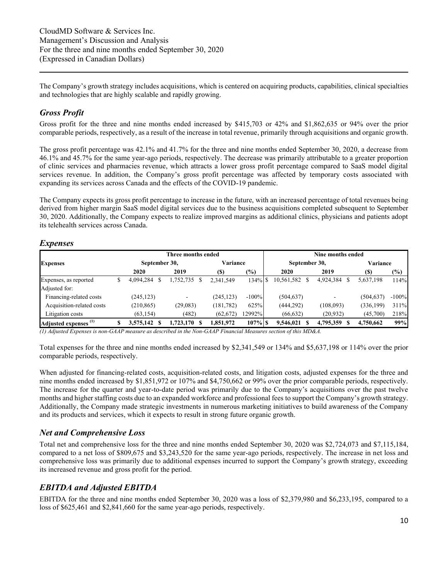The Company's growth strategy includes acquisitions, which is centered on acquiring products, capabilities, clinical specialties and technologies that are highly scalable and rapidly growing.

### <span id="page-9-0"></span>*Gross Profit*

Gross profit for the three and nine months ended increased by \$415,703 or 42% and \$1,862,635 or 94% over the prior comparable periods, respectively, as a result of the increase in total revenue, primarily through acquisitions and organic growth.

The gross profit percentage was 42.1% and 41.7% for the three and nine months ended September 30, 2020, a decrease from 46.1% and 45.7% for the same year-ago periods, respectively. The decrease was primarily attributable to a greater proportion of clinic services and pharmacies revenue, which attracts a lower gross profit percentage compared to SaaS model digital services revenue. In addition, the Company's gross profit percentage was affected by temporary costs associated with expanding its services across Canada and the effects of the COVID-19 pandemic.

The Company expects its gross profit percentage to increase in the future, with an increased percentage of total revenues being derived from higher margin SaaS model digital services due to the business acquisitions completed subsequent to September 30, 2020. Additionally, the Company expects to realize improved margins as additional clinics, physicians and patients adopt its telehealth services across Canada.

### <span id="page-9-1"></span>*Expenses*

|                                  |  |               | Three months ended |            |          |               | Nine months ended |            |         |
|----------------------------------|--|---------------|--------------------|------------|----------|---------------|-------------------|------------|---------|
| <b>Expenses</b>                  |  | September 30, |                    | Variance   |          | September 30, |                   | Variance   |         |
|                                  |  | 2020          | 2019               | <b>(S)</b> | (%)      | 2020          | 2019              | (S)        | (9/0)   |
| Expenses, as reported            |  | 4,094,284     | 1,752,735 \$       | 2,341,549  | 134% \$  | 10,561,582    | 4,924,384         | 5,637,198  | 114%    |
| Adjusted for:                    |  |               |                    |            |          |               |                   |            |         |
| Financing-related costs          |  | (245, 123)    |                    | (245, 123) | $-100\%$ | (504, 637)    |                   | (504, 637) | $-100%$ |
| Acquisition-related costs        |  | (210, 865)    | (29, 083)          | (181, 782) | 625%     | (444, 292)    | (108,093)         | (336, 199) | 311%    |
| Litigation costs                 |  | (63, 154)     | (482)              | (62, 672)  | 2992%    | (66, 632)     | (20, 932)         | (45,700)   | 218%    |
| Adjusted expenses <sup>(1)</sup> |  | 3.575.142     | $1,723,170$ \$     | 1,851,972  | $107%$ S | 9,546,021     | 4,795,359         | 4,750,662  | 99%     |

*(1) Adjusted Expenses is non-GAAP measure as described in the Non-GAAP Financial Measures section of this MD&A.* 

Total expenses for the three and nine months ended increased by \$2,341,549 or 134% and \$5,637,198 or 114% over the prior comparable periods, respectively.

When adjusted for financing-related costs, acquisition-related costs, and litigation costs, adjusted expenses for the three and nine months ended increased by \$1,851,972 or 107% and \$4,750,662 or 99% over the prior comparable periods, respectively. The increase for the quarter and year-to-date period was primarily due to the Company's acquisitions over the past twelve months and higher staffing costs due to an expanded workforce and professional fees to support the Company's growth strategy. Additionally, the Company made strategic investments in numerous marketing initiatives to build awareness of the Company and its products and services, which it expects to result in strong future organic growth.

### <span id="page-9-2"></span>*Net and Comprehensive Loss*

Total net and comprehensive loss for the three and nine months ended September 30, 2020 was \$2,724,073 and \$7,115,184, compared to a net loss of \$809,675 and \$3,243,520 for the same year-ago periods, respectively. The increase in net loss and comprehensive loss was primarily due to additional expenses incurred to support the Company's growth strategy, exceeding its increased revenue and gross profit for the period.

### <span id="page-9-3"></span>*EBITDA and Adjusted EBITDA*

EBITDA for the three and nine months ended September 30, 2020 was a loss of \$2,379,980 and \$6,233,195, compared to a loss of \$625,461 and \$2,841,660 for the same year-ago periods, respectively.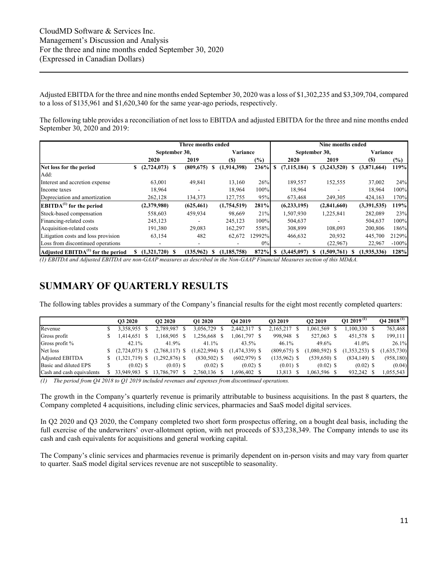Adjusted EBITDA for the three and nine months ended September 30, 2020 was a loss of \$1,302,235 and \$3,309,704, compared to a loss of \$135,961 and \$1,620,340 for the same year-ago periods, respectively.

The following table provides a reconciliation of net loss to EBITDA and adjusted EBITDA for the three and nine months ended September 30, 2020 and 2019:

|                                     |                       | Three months ended       |                    |        |             | Nine months ended |                  |         |
|-------------------------------------|-----------------------|--------------------------|--------------------|--------|-------------|-------------------|------------------|---------|
|                                     | September 30,         |                          | Variance           |        |             | September 30,     | Variance         |         |
|                                     | 2020                  | 2019                     | (S)                | $(\%)$ | 2020        | 2019              | (S)              | $(\%)$  |
| Net loss for the period             | $(2,724,073)$ \$<br>S | (809, 675)               | (1,914,398)<br>S   | 236%   | (7.115.184) | (3,243,520)<br>-S | (3,871,664)<br>S | 119%    |
| Add:                                |                       |                          |                    |        |             |                   |                  |         |
| Interest and accretion expense      | 63,001                | 49,841                   | 13,160             | 26%    | 189,557     | 152,555           | 37,002           | 24%     |
| Income taxes                        | 18.964                |                          | 18.964             | 100%   | 18,964      |                   | 18.964           | 100%    |
| Depreciation and amortization       | 262,128               | 134,373                  | 127,755            | 95%    | 673,468     | 249,305           | 424,163          | 170%    |
| $EBITDA(1)$ for the period          | (2,379,980)           | (625, 461)               | (1,754,519)        | 281%   | (6,233,195) | (2,841,660)       | (3,391,535)      | 119%    |
| Stock-based compensation            | 558,603               | 459,934                  | 98,669             | 21%    | 1,507,930   | 1,225,841         | 282,089          | 23%     |
| Financing-related costs             | 245,123               |                          | 245,123            | 100%   | 504,637     |                   | 504,637          | 100%    |
| Acquisition-related costs           | 191,380               | 29,083                   | 162,297            | 558%   | 308,899     | 108,093           | 200,806          | 186%    |
| Litigation costs and loss provision | 63,154                | 482                      | 62,672             | 12992% | 466,632     | 20,932            | 445,700          | 2129%   |
| Loss from discontinued operations   | ۰                     | $\overline{\phantom{a}}$ | ٠                  | $0\%$  |             | (22,967)          | 22,967           | $-100%$ |
| Adjusted $EBITDA(1)$ for the period | (1.321.720)<br>£.     | (135,962)                | (1.185.758)<br>\$. | 872%   | (3,445,097) | (1.509.761)       | (1,935,336)      | 128%    |

*(1) EBITDA and Adjusted EBITDA are non-GAAP measures as described in the Non-GAAP Financial Measures section of this MD&A.*

# <span id="page-10-0"></span>**SUMMARY OF QUARTERLY RESULTS**

The following tables provides a summary of the Company's financial results for the eight most recently completed quarters:

|                           | O3 2020          | O <sub>2</sub> 2020 | O1 2020          | O <sub>4</sub> 2019 | O3 2019        | O <sub>2</sub> 2019 | $01\,2019^{(1)}$ | $Q4 2018^{(1)}$ |
|---------------------------|------------------|---------------------|------------------|---------------------|----------------|---------------------|------------------|-----------------|
| Revenue                   | 3,358,955 \$     | 2,789,987           | 3,056,729        | 2,442,317 \$        | 2,165,217      | .061,569            | $1,100,330$ \$   | 763,468         |
| Gross profit              | .414,651         | 1,168,905 \$        | .256,668         | 1,061,797 \$        | 998,948 \$     | 527,063 \$          | 451,578 \$       | 199,111         |
| Gross profit %            | 42.1%            | 41.9%               | $41.1\%$         | 43.5%               | 46.1%          | 49.6%               | 41.0%            | 26.1%           |
| Net loss                  | $(2,724,073)$ \$ | $(2,768,117)$ \$    | $(1,622,994)$ \$ | $(1,474,339)$ \$    | $(809,675)$ \$ | $(1,080,592)$ \$    | $(1,353,253)$ \$ | 1,635,730       |
| <b>Adjusted EBITDA</b>    | $(1,321,719)$ \$ | $(1,292,876)$ \$    | $(830, 502)$ \$  | $(602,979)$ \$      | $(135,962)$ \$ | $(539,650)$ \$      | $(834, 149)$ \$  | (958, 180)      |
| Basic and diluted EPS     | $(0.02)$ \$      | $(0.03)$ \$         | $(0.02)$ \$      | $(0.02)$ \$         | $(0.01)$ \$    | $(0.02)$ \$         | $(0.02)$ \$      | (0.04)          |
| Cash and cash equivalents | 33.949.983       | 13.786.797 \$       | 2,760,136 \$     | 1.696.402 \$        | 13,813         | $.063,596$ \$       | 932,242 \$       | .055,543        |

*(1) The period from Q4 2018 to Q1 2019 included revenues and expenses from discontinued operations.* 

The growth in the Company's quarterly revenue is primarily attributable to business acquisitions. In the past 8 quarters, the Company completed 4 acquisitions, including clinic services, pharmacies and SaaS model digital services.

In Q2 2020 and Q3 2020, the Company completed two short form prospectus offering, on a bought deal basis, including the full exercise of the underwriters' over-allotment option, with net proceeds of \$33,238,349. The Company intends to use its cash and cash equivalents for acquisitions and general working capital.

The Company's clinic services and pharmacies revenue is primarily dependent on in-person visits and may vary from quarter to quarter. SaaS model digital services revenue are not susceptible to seasonality.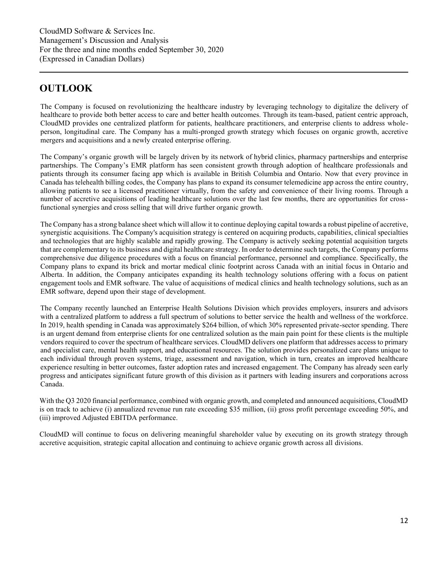# <span id="page-11-0"></span>**OUTLOOK**

The Company is focused on revolutionizing the healthcare industry by leveraging technology to digitalize the delivery of healthcare to provide both better access to care and better health outcomes. Through its team-based, patient centric approach, CloudMD provides one centralized platform for patients, healthcare practitioners, and enterprise clients to address wholeperson, longitudinal care. The Company has a multi-pronged growth strategy which focuses on organic growth, accretive mergers and acquisitions and a newly created enterprise offering.

The Company's organic growth will be largely driven by its network of hybrid clinics, pharmacy partnerships and enterprise partnerships. The Company's EMR platform has seen consistent growth through adoption of healthcare professionals and patients through its consumer facing app which is available in British Columbia and Ontario. Now that every province in Canada has telehealth billing codes, the Company has plans to expand its consumer telemedicine app across the entire country, allowing patients to see a licensed practitioner virtually, from the safety and convenience of their living rooms. Through a number of accretive acquisitions of leading healthcare solutions over the last few months, there are opportunities for crossfunctional synergies and cross selling that will drive further organic growth.

The Company has a strong balance sheet which will allow it to continue deploying capital towards a robust pipeline of accretive, synergistic acquisitions. The Company's acquisition strategy is centered on acquiring products, capabilities, clinical specialties and technologies that are highly scalable and rapidly growing. The Company is actively seeking potential acquisition targets that are complementary to its business and digital healthcare strategy. In order to determine such targets, the Company performs comprehensive due diligence procedures with a focus on financial performance, personnel and compliance. Specifically, the Company plans to expand its brick and mortar medical clinic footprint across Canada with an initial focus in Ontario and Alberta. In addition, the Company anticipates expanding its health technology solutions offering with a focus on patient engagement tools and EMR software. The value of acquisitions of medical clinics and health technology solutions, such as an EMR software, depend upon their stage of development.

The Company recently launched an Enterprise Health Solutions Division which provides employers, insurers and advisors with a centralized platform to address a full spectrum of solutions to better service the health and wellness of the workforce. In 2019, health spending in Canada was approximately \$264 billion, of which 30% represented private-sector spending. There is an urgent demand from enterprise clients for one centralized solution as the main pain point for these clients is the multiple vendors required to cover the spectrum of healthcare services. CloudMD delivers one platform that addresses access to primary and specialist care, mental health support, and educational resources. The solution provides personalized care plans unique to each individual through proven systems, triage, assessment and navigation, which in turn, creates an improved healthcare experience resulting in better outcomes, faster adoption rates and increased engagement. The Company has already seen early progress and anticipates significant future growth of this division as it partners with leading insurers and corporations across Canada.

With the Q3 2020 financial performance, combined with organic growth, and completed and announced acquisitions, CloudMD is on track to achieve (i) annualized revenue run rate exceeding \$35 million, (ii) gross profit percentage exceeding 50%, and (iii) improved Adjusted EBITDA performance.

CloudMD will continue to focus on delivering meaningful shareholder value by executing on its growth strategy through accretive acquisition, strategic capital allocation and continuing to achieve organic growth across all divisions.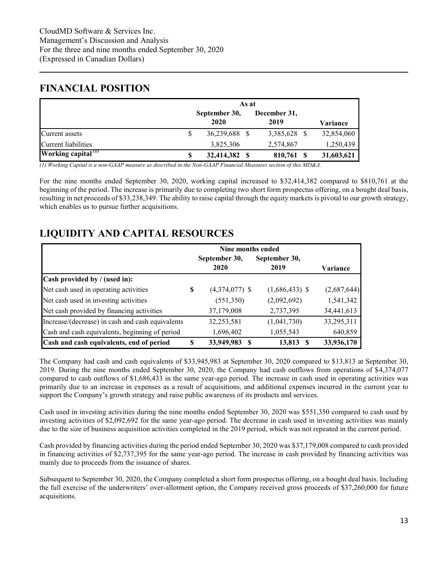# <span id="page-12-0"></span>**FINANCIAL POSITION**

|                                | As at                 |                      |  |            |  |  |  |  |
|--------------------------------|-----------------------|----------------------|--|------------|--|--|--|--|
|                                | September 30,<br>2020 | December 31,<br>2019 |  | Variance   |  |  |  |  |
| <b>Current</b> assets          | 36,239,688            | 3,385,628 \$         |  | 32,854,060 |  |  |  |  |
| Current liabilities            | 3,825,306             | 2,574,867            |  | 1,250,439  |  |  |  |  |
| Working capital <sup>(1)</sup> | 32,414,382            | 810,761              |  | 31,603,621 |  |  |  |  |

*(1) Working Capital is a non-GAAP measure as described in the Non-GAAP Financial Measures section of this MD&A.* 

For the nine months ended September 30, 2020, working capital increased to \$32,414,382 compared to \$810,761 at the beginning of the period. The increase is primarily due to completing two short form prospectus offering, on a bought deal basis, resulting in net proceeds of \$33,238,349. The ability to raise capital through the equity markets is pivotal to our growth strategy, which enables us to pursue further acquisitions.

# <span id="page-12-1"></span>**LIQUIDITY AND CAPITAL RESOURCES**

|                                                  |   | Nine months ended |                  |             |
|--------------------------------------------------|---|-------------------|------------------|-------------|
|                                                  |   | September 30,     | September 30,    |             |
|                                                  |   | 2020              | 2019             | Variance    |
| Cash provided by / (used in):                    |   |                   |                  |             |
| Net cash used in operating activities            | S | $(4,374,077)$ \$  | $(1,686,433)$ \$ | (2,687,644) |
| Net cash used in investing activities            |   | (551, 350)        | (2,092,692)      | 1,541,342   |
| Net cash provided by financing activities        |   | 37,179,008        | 2,737,395        | 34,441,613  |
| Increase/(decrease) in cash and cash equivalents |   | 32,253,581        | (1,041,730)      | 33,295,311  |
| Cash and cash equivalents, beginning of period   |   | 1,696,402         | 1,055,543        | 640,859     |
| Cash and cash equivalents, end of period         | S | 33,949,983        | 13,813           | 33,936,170  |

The Company had cash and cash equivalents of \$33,945,983 at September 30, 2020 compared to \$13,813 at September 30, 2019. During the nine months ended September 30, 2020, the Company had cash outflows from operations of \$4,374,077 compared to cash outflows of \$1,686,433 in the same year-ago period. The increase in cash used in operating activities was primarily due to an increase in expenses as a result of acquisitions, and additional expenses incurred in the current year to support the Company's growth strategy and raise public awareness of its products and services.

Cash used in investing activities during the nine months ended September 30, 2020 was \$551,350 compared to cash used by investing activities of \$2,092,692 for the same year-ago period. The decrease in cash used in investing activities was mainly due to the size of business acquisition activities completed in the 2019 period, which was not repeated in the current period.

Cash provided by financing activities during the period ended September 30, 2020 was \$37,179,008 compared to cash provided in financing activities of \$2,737,395 for the same year-ago period. The increase in cash provided by financing activities was mainly due to proceeds from the issuance of shares.

Subsequent to September 30, 2020, the Company completed a short form prospectus offering, on a bought deal basis. Including the full exercise of the underwriters' over-allotment option, the Company received gross proceeds of \$37,260,000 for future acquisitions.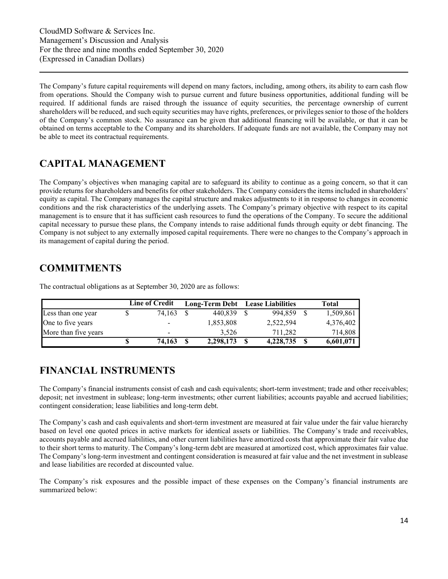The Company's future capital requirements will depend on many factors, including, among others, its ability to earn cash flow from operations. Should the Company wish to pursue current and future business opportunities, additional funding will be required. If additional funds are raised through the issuance of equity securities, the percentage ownership of current shareholders will be reduced, and such equity securities may have rights, preferences, or privileges senior to those of the holders of the Company's common stock. No assurance can be given that additional financing will be available, or that it can be obtained on terms acceptable to the Company and its shareholders. If adequate funds are not available, the Company may not be able to meet its contractual requirements.

# <span id="page-13-0"></span>**CAPITAL MANAGEMENT**

The Company's objectives when managing capital are to safeguard its ability to continue as a going concern, so that it can provide returns for shareholders and benefits for other stakeholders. The Company considers the items included in shareholders' equity as capital. The Company manages the capital structure and makes adjustments to it in response to changes in economic conditions and the risk characteristics of the underlying assets. The Company's primary objective with respect to its capital management is to ensure that it has sufficient cash resources to fund the operations of the Company. To secure the additional capital necessary to pursue these plans, the Company intends to raise additional funds through equity or debt financing. The Company is not subject to any externally imposed capital requirements. There were no changes to the Company's approach in its management of capital during the period.

# <span id="page-13-1"></span>**COMMITMENTS**

|                      |   | Line of Credit |    | Long-Term Debt Lease Liabilities |   |           |   | Total     |
|----------------------|---|----------------|----|----------------------------------|---|-----------|---|-----------|
| Less than one year   |   | 74.163         |    | 440.839                          |   | 994.859   |   | 1,509,861 |
| One to five years    |   |                |    | 1,853,808                        |   | 2,522,594 |   | 4,376,402 |
| More than five years |   | -              |    | 3.526                            |   | 711.282   |   | 714,808   |
|                      | S | 74.163         | -S | 2,298,173                        | S | 4,228,735 | S | 6,601,071 |

The contractual obligations as at September 30, 2020 are as follows:

# <span id="page-13-2"></span>**FINANCIAL INSTRUMENTS**

The Company's financial instruments consist of cash and cash equivalents; short-term investment; trade and other receivables; deposit; net investment in sublease; long-term investments; other current liabilities; accounts payable and accrued liabilities; contingent consideration; lease liabilities and long-term debt.

The Company's cash and cash equivalents and short-term investment are measured at fair value under the fair value hierarchy based on level one quoted prices in active markets for identical assets or liabilities. The Company's trade and receivables, accounts payable and accrued liabilities, and other current liabilities have amortized costs that approximate their fair value due to their short terms to maturity. The Company's long-term debt are measured at amortized cost, which approximates fair value. The Company's long-term investment and contingent consideration is measured at fair value and the net investment in sublease and lease liabilities are recorded at discounted value.

The Company's risk exposures and the possible impact of these expenses on the Company's financial instruments are summarized below: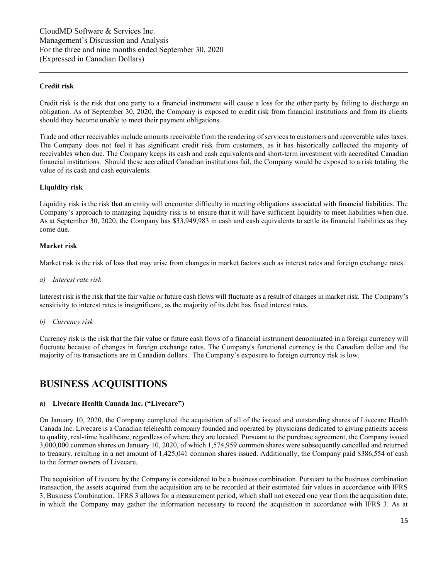### **Credit risk**

Credit risk is the risk that one party to a financial instrument will cause a loss for the other party by failing to discharge an obligation. As of September 30, 2020, the Company is exposed to credit risk from financial institutions and from its clients should they become unable to meet their payment obligations.

Trade and other receivables include amounts receivable from the rendering of services to customers and recoverable sales taxes. The Company does not feel it has significant credit risk from customers, as it has historically collected the majority of receivables when due. The Company keeps its cash and cash equivalents and short-term investment with accredited Canadian financial institutions. Should these accredited Canadian institutions fail, the Company would be exposed to a risk totaling the value of its cash and cash equivalents.

### **Liquidity risk**

Liquidity risk is the risk that an entity will encounter difficulty in meeting obligations associated with financial liabilities. The Company's approach to managing liquidity risk is to ensure that it will have sufficient liquidity to meet liabilities when due. As at September 30, 2020, the Company has \$33,949,983 in cash and cash equivalents to settle its financial liabilities as they come due.

### **Market risk**

Market risk is the risk of loss that may arise from changes in market factors such as interest rates and foreign exchange rates.

*a) Interest rate risk* 

Interest risk is the risk that the fair value or future cash flows will fluctuate as a result of changes in market risk. The Company's sensitivity to interest rates is insignificant, as the majority of its debt has fixed interest rates.

*b) Currency risk* 

Currency risk is the risk that the fair value or future cash flows of a financial instrument denominated in a foreign currency will fluctuate because of changes in foreign exchange rates. The Company's functional currency is the Canadian dollar and the majority of its transactions are in Canadian dollars. The Company's exposure to foreign currency risk is low.

### <span id="page-14-0"></span>**BUSINESS ACQUISITIONS**

### **a) Livecare Health Canada Inc. ("Livecare")**

On January 10, 2020, the Company completed the acquisition of all of the issued and outstanding shares of Livecare Health Canada Inc. Livecare is a Canadian telehealth company founded and operated by physicians dedicated to giving patients access to quality, real-time healthcare, regardless of where they are located. Pursuant to the purchase agreement, the Company issued 3,000,000 common shares on January 10, 2020, of which 1,574,959 common shares were subsequently cancelled and returned to treasury, resulting in a net amount of 1,425,041 common shares issued. Additionally, the Company paid \$386,554 of cash to the former owners of Livecare.

The acquisition of Livecare by the Company is considered to be a business combination. Pursuant to the business combination transaction, the assets acquired from the acquisition are to be recorded at their estimated fair values in accordance with IFRS 3, Business Combination. IFRS 3 allows for a measurement period, which shall not exceed one year from the acquisition date, in which the Company may gather the information necessary to record the acquisition in accordance with IFRS 3. As at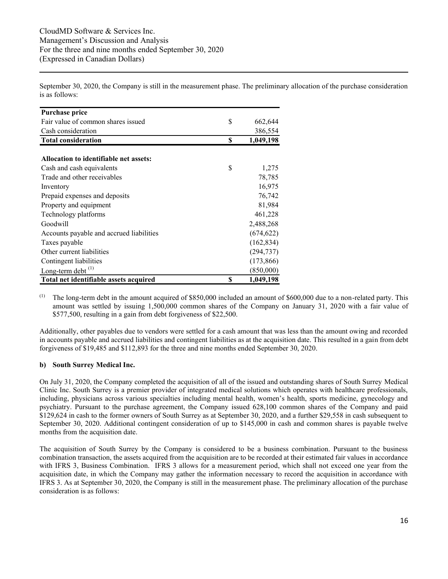September 30, 2020, the Company is still in the measurement phase. The preliminary allocation of the purchase consideration is as follows:

| <b>Purchase price</b>                    |    |            |
|------------------------------------------|----|------------|
| Fair value of common shares issued       | \$ | 662,644    |
| Cash consideration                       |    | 386,554    |
| <b>Total consideration</b>               | S  | 1,049,198  |
|                                          |    |            |
| Allocation to identifiable net assets:   |    |            |
| Cash and cash equivalents                | \$ | 1,275      |
| Trade and other receivables              |    | 78,785     |
| Inventory                                |    | 16,975     |
| Prepaid expenses and deposits            |    | 76,742     |
| Property and equipment                   |    | 81,984     |
| Technology platforms                     |    | 461,228    |
| Goodwill                                 |    | 2,488,268  |
| Accounts payable and accrued liabilities |    | (674, 622) |
| Taxes payable                            |    | (162, 834) |
| Other current liabilities                |    | (294, 737) |
| Contingent liabilities                   |    | (173, 866) |
| Long-term debt $^{(1)}$                  |    | (850,000)  |
| Total net identifiable assets acquired   | \$ | 1,049,198  |

 $^{(1)}$  The long-term debt in the amount acquired of \$850,000 included an amount of \$600,000 due to a non-related party. This amount was settled by issuing 1,500,000 common shares of the Company on January 31, 2020 with a fair value of \$577,500, resulting in a gain from debt forgiveness of \$22,500.

Additionally, other payables due to vendors were settled for a cash amount that was less than the amount owing and recorded in accounts payable and accrued liabilities and contingent liabilities as at the acquisition date. This resulted in a gain from debt forgiveness of \$19,485 and \$112,893 for the three and nine months ended September 30, 2020.

### **b) South Surrey Medical Inc.**

On July 31, 2020, the Company completed the acquisition of all of the issued and outstanding shares of South Surrey Medical Clinic Inc. South Surrey is a premier provider of integrated medical solutions which operates with healthcare professionals, including, physicians across various specialties including mental health, women's health, sports medicine, gynecology and psychiatry. Pursuant to the purchase agreement, the Company issued 628,100 common shares of the Company and paid \$129,624 in cash to the former owners of South Surrey as at September 30, 2020, and a further \$29,558 in cash subsequent to September 30, 2020. Additional contingent consideration of up to \$145,000 in cash and common shares is payable twelve months from the acquisition date.

The acquisition of South Surrey by the Company is considered to be a business combination. Pursuant to the business combination transaction, the assets acquired from the acquisition are to be recorded at their estimated fair values in accordance with IFRS 3, Business Combination. IFRS 3 allows for a measurement period, which shall not exceed one year from the acquisition date, in which the Company may gather the information necessary to record the acquisition in accordance with IFRS 3. As at September 30, 2020, the Company is still in the measurement phase. The preliminary allocation of the purchase consideration is as follows: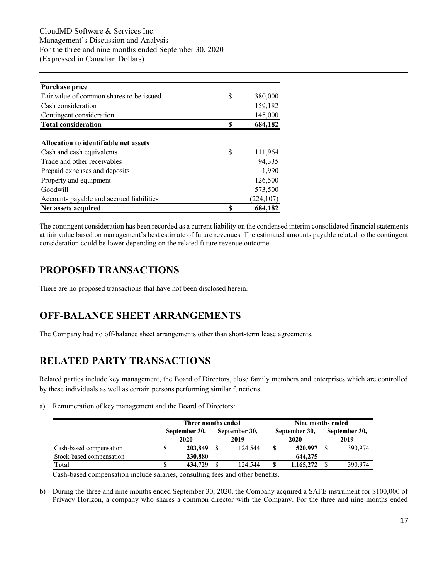| <b>Purchase price</b>                    |    |            |
|------------------------------------------|----|------------|
| Fair value of common shares to be issued | S  | 380,000    |
| Cash consideration                       |    | 159,182    |
| Contingent consideration                 |    | 145,000    |
| <b>Total consideration</b>               | S  | 684,182    |
|                                          |    |            |
| Allocation to identifiable net assets    |    |            |
| Cash and cash equivalents                | \$ | 111,964    |
| Trade and other receivables              |    | 94,335     |
| Prepaid expenses and deposits            |    | 1,990      |
| Property and equipment                   |    | 126,500    |
| Goodwill                                 |    | 573,500    |
| Accounts payable and accrued liabilities |    | (224, 107) |
| Net assets acquired                      | S  | 684,182    |

The contingent consideration has been recorded as a current liability on the condensed interim consolidated financial statements at fair value based on management's best estimate of future revenues. The estimated amounts payable related to the contingent consideration could be lower depending on the related future revenue outcome.

# <span id="page-16-0"></span>**PROPOSED TRANSACTIONS**

There are no proposed transactions that have not been disclosed herein.

# <span id="page-16-1"></span>**OFF-BALANCE SHEET ARRANGEMENTS**

The Company had no off-balance sheet arrangements other than short-term lease agreements.

# <span id="page-16-2"></span>**RELATED PARTY TRANSACTIONS**

Related parties include key management, the Board of Directors, close family members and enterprises which are controlled by these individuals as well as certain persons performing similar functions.

a) Remuneration of key management and the Board of Directors:

|                          |    | Three months ended    |                          | Nine months ended |                       |                       |                          |  |  |
|--------------------------|----|-----------------------|--------------------------|-------------------|-----------------------|-----------------------|--------------------------|--|--|
|                          |    | September 30,<br>2020 | September 30,<br>2019    |                   | September 30,<br>2020 | September 30,<br>2019 |                          |  |  |
| Cash-based compensation  | \$ | 203,849               | 124.544                  | S                 | 520,997               |                       | 390.974                  |  |  |
| Stock-based compensation |    | 230,880               | $\overline{\phantom{0}}$ |                   | 644,275               |                       | $\overline{\phantom{0}}$ |  |  |
| <b>Total</b>             | S  | 434,729               | 124.544                  | \$                | 1,165,272             |                       | 390.974                  |  |  |

Cash-based compensation include salaries, consulting fees and other benefits.

b) During the three and nine months ended September 30, 2020, the Company acquired a SAFE instrument for \$100,000 of Privacy Horizon, a company who shares a common director with the Company. For the three and nine months ended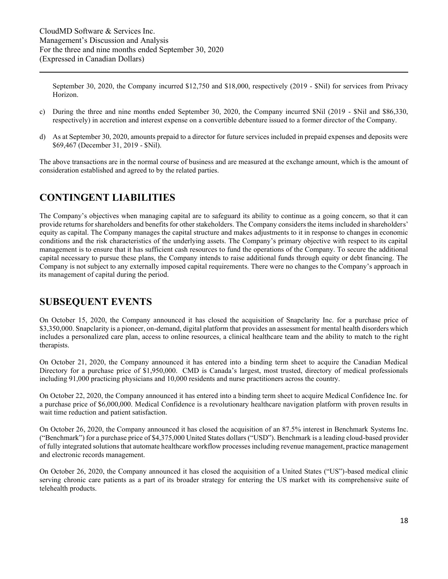September 30, 2020, the Company incurred \$12,750 and \$18,000, respectively (2019 - \$Nil) for services from Privacy Horizon.

- c) During the three and nine months ended September 30, 2020, the Company incurred \$Nil (2019 \$Nil and \$86,330, respectively) in accretion and interest expense on a convertible debenture issued to a former director of the Company.
- d) As at September 30, 2020, amounts prepaid to a director for future services included in prepaid expenses and deposits were \$69,467 (December 31, 2019 - \$Nil).

The above transactions are in the normal course of business and are measured at the exchange amount, which is the amount of consideration established and agreed to by the related parties.

# <span id="page-17-0"></span>**CONTINGENT LIABILITIES**

The Company's objectives when managing capital are to safeguard its ability to continue as a going concern, so that it can provide returns for shareholders and benefits for other stakeholders. The Company considers the items included in shareholders' equity as capital. The Company manages the capital structure and makes adjustments to it in response to changes in economic conditions and the risk characteristics of the underlying assets. The Company's primary objective with respect to its capital management is to ensure that it has sufficient cash resources to fund the operations of the Company. To secure the additional capital necessary to pursue these plans, the Company intends to raise additional funds through equity or debt financing. The Company is not subject to any externally imposed capital requirements. There were no changes to the Company's approach in its management of capital during the period.

### <span id="page-17-1"></span>**SUBSEQUENT EVENTS**

On October 15, 2020, the Company announced it has closed the acquisition of Snapclarity Inc. for a purchase price of \$3,350,000. Snapclarity is a pioneer, on-demand, digital platform that provides an assessment for mental health disorders which includes a personalized care plan, access to online resources, a clinical healthcare team and the ability to match to the right therapists.

On October 21, 2020, the Company announced it has entered into a binding term sheet to acquire the Canadian Medical Directory for a purchase price of \$1,950,000. CMD is Canada's largest, most trusted, directory of medical professionals including 91,000 practicing physicians and 10,000 residents and nurse practitioners across the country.

On October 22, 2020, the Company announced it has entered into a binding term sheet to acquire Medical Confidence Inc. for a purchase price of \$6,000,000. Medical Confidence is a revolutionary healthcare navigation platform with proven results in wait time reduction and patient satisfaction.

On October 26, 2020, the Company announced it has closed the acquisition of an 87.5% interest in Benchmark Systems Inc. ("Benchmark") for a purchase price of \$4,375,000 United States dollars ("USD"). Benchmark is a leading cloud-based provider of fully integrated solutions that automate healthcare workflow processes including revenue management, practice management and electronic records management.

On October 26, 2020, the Company announced it has closed the acquisition of a United States ("US")-based medical clinic serving chronic care patients as a part of its broader strategy for entering the US market with its comprehensive suite of telehealth products.